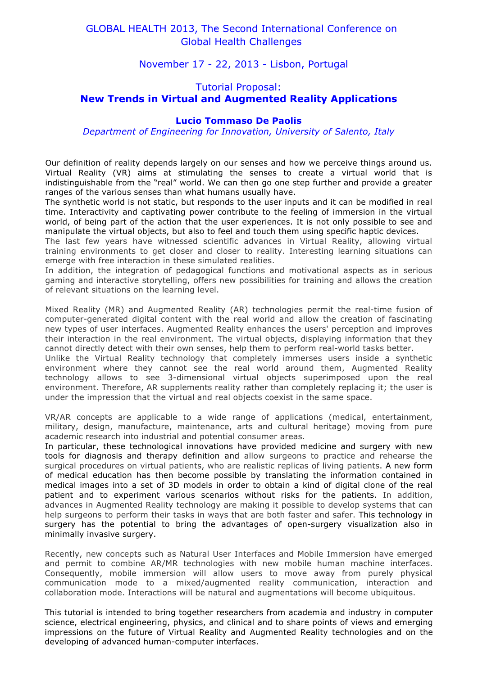# GLOBAL HEALTH 2013, The Second International Conference on Global Health Challenges

November 17 - 22, 2013 - Lisbon, Portugal

# Tutorial Proposal: **New Trends in Virtual and Augmented Reality Applications**

## **Lucio Tommaso De Paolis**

*Department of Engineering for Innovation, University of Salento, Italy*

Our definition of reality depends largely on our senses and how we perceive things around us. Virtual Reality (VR) aims at stimulating the senses to create a virtual world that is indistinguishable from the "real" world. We can then go one step further and provide a greater ranges of the various senses than what humans usually have.

The synthetic world is not static, but responds to the user inputs and it can be modified in real time. Interactivity and captivating power contribute to the feeling of immersion in the virtual world, of being part of the action that the user experiences. It is not only possible to see and manipulate the virtual objects, but also to feel and touch them using specific haptic devices.

The last few years have witnessed scientific advances in Virtual Reality, allowing virtual training environments to get closer and closer to reality. Interesting learning situations can emerge with free interaction in these simulated realities.

In addition, the integration of pedagogical functions and motivational aspects as in serious gaming and interactive storytelling, offers new possibilities for training and allows the creation of relevant situations on the learning level.

Mixed Reality (MR) and Augmented Reality (AR) technologies permit the real-time fusion of computer-generated digital content with the real world and allow the creation of fascinating new types of user interfaces. Augmented Reality enhances the users' perception and improves their interaction in the real environment. The virtual objects, displaying information that they cannot directly detect with their own senses, help them to perform real-world tasks better.

Unlike the Virtual Reality technology that completely immerses users inside a synthetic environment where they cannot see the real world around them, Augmented Reality technology allows to see 3-dimensional virtual objects superimposed upon the real environment. Therefore, AR supplements reality rather than completely replacing it; the user is under the impression that the virtual and real objects coexist in the same space.

VR/AR concepts are applicable to a wide range of applications (medical, entertainment, military, design, manufacture, maintenance, arts and cultural heritage) moving from pure academic research into industrial and potential consumer areas.

In particular, these technological innovations have provided medicine and surgery with new tools for diagnosis and therapy definition and allow surgeons to practice and rehearse the surgical procedures on virtual patients, who are realistic replicas of living patients. A new form of medical education has then become possible by translating the information contained in medical images into a set of 3D models in order to obtain a kind of digital clone of the real patient and to experiment various scenarios without risks for the patients. In addition, advances in Augmented Reality technology are making it possible to develop systems that can help surgeons to perform their tasks in ways that are both faster and safer. This technology in surgery has the potential to bring the advantages of open-surgery visualization also in minimally invasive surgery.

Recently, new concepts such as Natural User Interfaces and Mobile Immersion have emerged and permit to combine AR/MR technologies with new mobile human machine interfaces. Consequently, mobile immersion will allow users to move away from purely physical communication mode to a mixed/augmented reality communication, interaction and collaboration mode. Interactions will be natural and augmentations will become ubiquitous.

This tutorial is intended to bring together researchers from academia and industry in computer science, electrical engineering, physics, and clinical and to share points of views and emerging impressions on the future of Virtual Reality and Augmented Reality technologies and on the developing of advanced human-computer interfaces.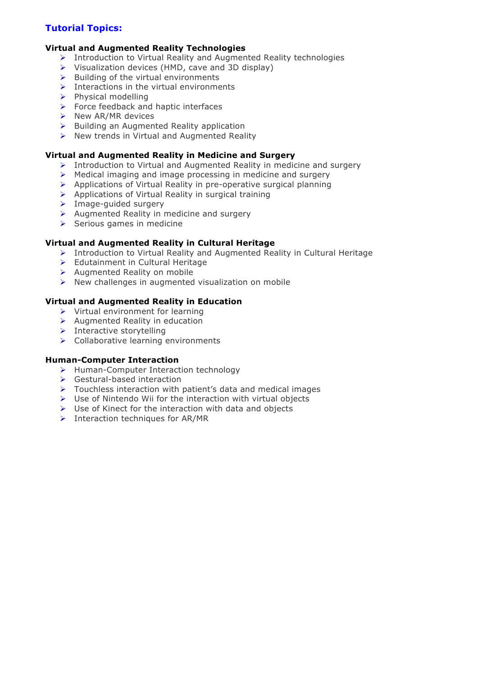# **Tutorial Topics:**

## **Virtual and Augmented Reality Technologies**

- $\triangleright$  Introduction to Virtual Reality and Augmented Reality technologies
- $\triangleright$  Visualization devices (HMD, cave and 3D display)
- $\triangleright$  Building of the virtual environments
- $\triangleright$  Interactions in the virtual environments
- $\triangleright$  Physical modelling
- $\triangleright$  Force feedback and haptic interfaces
- $\triangleright$  New AR/MR devices
- $\triangleright$  Building an Augmented Reality application
- $\triangleright$  New trends in Virtual and Augmented Reality

## **Virtual and Augmented Reality in Medicine and Surgery**

- > Introduction to Virtual and Augmented Reality in medicine and surgery
- $\triangleright$  Medical imaging and image processing in medicine and surgery
- $\triangleright$  Applications of Virtual Reality in pre-operative surgical planning
- Applications of Virtual Reality in surgical training
- > Image-guided surgery
- $\triangleright$  Augmented Reality in medicine and surgery
- $\triangleright$  Serious games in medicine

## **Virtual and Augmented Reality in Cultural Heritage**

- Introduction to Virtual Reality and Augmented Reality in Cultural Heritage
- > Edutainment in Cultural Heritage
- $\triangleright$  Augmented Reality on mobile
- $\triangleright$  New challenges in augmented visualization on mobile

## **Virtual and Augmented Reality in Education**

- $\triangleright$  Virtual environment for learning
- $\triangleright$  Augmented Reality in education
- $\triangleright$  Interactive storytelling
- Collaborative learning environments

### **Human-Computer Interaction**

- > Human-Computer Interaction technology
- ▶ Gestural-based interaction
- $\triangleright$  Touchless interaction with patient's data and medical images
- $\triangleright$  Use of Nintendo Wii for the interaction with virtual objects
- $\triangleright$  Use of Kinect for the interaction with data and objects
- $\triangleright$  Interaction techniques for AR/MR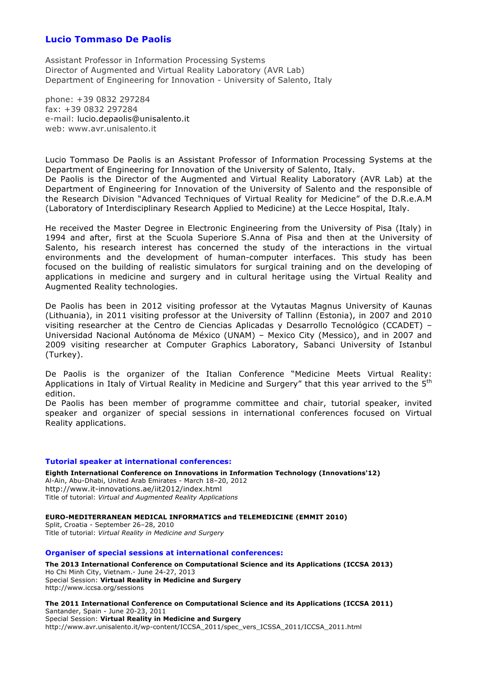## **Lucio Tommaso De Paolis**

Assistant Professor in Information Processing Systems Director of Augmented and Virtual Reality Laboratory (AVR Lab) Department of Engineering for Innovation - University of Salento, Italy

phone: +39 0832 297284 fax: +39 0832 297284 e-mail: lucio.depaolis@unisalento.it web: www.avr.unisalento.it

Lucio Tommaso De Paolis is an Assistant Professor of Information Processing Systems at the Department of Engineering for Innovation of the University of Salento, Italy. De Paolis is the Director of the Augmented and Virtual Reality Laboratory (AVR Lab) at the Department of Engineering for Innovation of the University of Salento and the responsible of the Research Division "Advanced Techniques of Virtual Reality for Medicine" of the D.R.e.A.M

(Laboratory of Interdisciplinary Research Applied to Medicine) at the Lecce Hospital, Italy.

He received the Master Degree in Electronic Engineering from the University of Pisa (Italy) in 1994 and after, first at the Scuola Superiore S.Anna of Pisa and then at the University of Salento, his research interest has concerned the study of the interactions in the virtual environments and the development of human-computer interfaces. This study has been focused on the building of realistic simulators for surgical training and on the developing of applications in medicine and surgery and in cultural heritage using the Virtual Reality and Augmented Reality technologies.

De Paolis has been in 2012 visiting professor at the Vytautas Magnus University of Kaunas (Lithuania), in 2011 visiting professor at the University of Tallinn (Estonia), in 2007 and 2010 visiting researcher at the Centro de Ciencias Aplicadas y Desarrollo Tecnológico (CCADET) – Universidad Nacional Autónoma de México (UNAM) – Mexico City (Messico), and in 2007 and 2009 visiting researcher at Computer Graphics Laboratory, Sabanci University of Istanbul (Turkey).

De Paolis is the organizer of the Italian Conference "Medicine Meets Virtual Reality: Applications in Italy of Virtual Reality in Medicine and Surgery" that this year arrived to the 5<sup>th</sup> edition.

De Paolis has been member of programme committee and chair, tutorial speaker, invited speaker and organizer of special sessions in international conferences focused on Virtual Reality applications.

### **Tutorial speaker at international conferences:**

**Eighth International Conference on Innovations in Information Technology (Innovations'12)**  Al-Ain, Abu-Dhabi, United Arab Emirates - March 18–20, 2012 http://www.it-innovations.ae/iit2012/index.html Title of tutorial: *Virtual and Augmented Reality Applications*

**EURO-MEDITERRANEAN MEDICAL INFORMATICS and TELEMEDICINE (EMMIT 2010)** Split, Croatia - September 26–28, 2010 Title of tutorial: *Virtual Reality in Medicine and Surgery*

#### **Organiser of special sessions at international conferences:**

**The 2013 International Conference on Computational Science and its Applications (ICCSA 2013)** Ho Chi Minh City, Vietnam.- June 24-27, 2013 Special Session: **Virtual Reality in Medicine and Surgery** http://www.iccsa.org/sessions

**The 2011 International Conference on Computational Science and its Applications (ICCSA 2011)** Santander, Spain - June 20-23, 2011 Special Session: **Virtual Reality in Medicine and Surgery** http://www.avr.unisalento.it/wp-content/ICCSA\_2011/spec\_vers\_ICSSA\_2011/ICCSA\_2011.html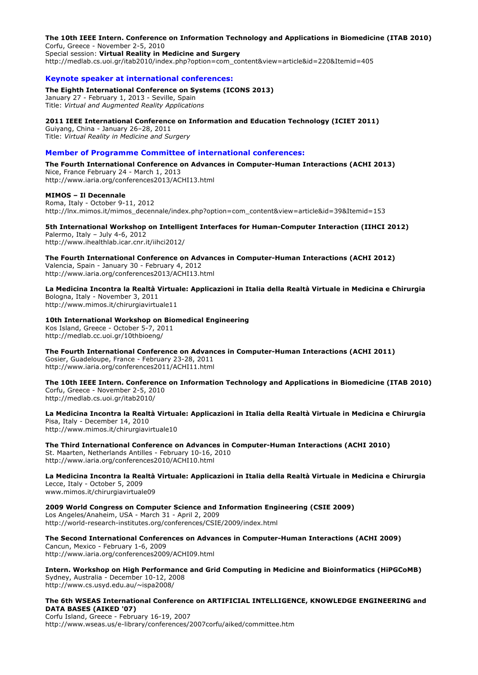**The 10th IEEE Intern. Conference on Information Technology and Applications in Biomedicine (ITAB 2010)** Corfu, Greece - November 2-5, 2010 Special session: **Virtual Reality in Medicine and Surgery**

http://medlab.cs.uoi.gr/itab2010/index.php?option=com\_content&view=article&id=220&Itemid=405

#### **Keynote speaker at international conferences:**

#### **The Eighth International Conference on Systems (ICONS 2013)**

January 27 - February 1, 2013 - Seville, Spain Title: *Virtual and Augmented Reality Applications*

#### **2011 IEEE International Conference on Information and Education Technology (ICIET 2011)**

Guiyang, China - January 26–28, 2011 Title: *Virtual Reality in Medicine and Surgery*

#### **Member of Programme Committee of international conferences:**

**The Fourth International Conference on Advances in Computer-Human Interactions (ACHI 2013)** Nice, France February 24 - March 1, 2013 http://www.iaria.org/conferences2013/ACHI13.html

#### **MIMOS – Il Decennale**

Roma, Italy - October 9-11, 2012 http://lnx.mimos.it/mimos\_decennale/index.php?option=com\_content&view=article&id=39&Itemid=153

#### **5th International Workshop on Intelligent Interfaces for Human-Computer Interaction (IIHCI 2012)**

Palermo, Italy – July 4-6, 2012 http://www.ihealthlab.icar.cnr.it/iihci2012/

**The Fourth International Conference on Advances in Computer-Human Interactions (ACHI 2012)** Valencia, Spain - January 30 - February 4, 2012 http://www.iaria.org/conferences2013/ACHI13.html

**La Medicina Incontra la Realtà Virtuale: Applicazioni in Italia della Realtà Virtuale in Medicina e Chirurgia** Bologna, Italy - November 3, 2011

http://www.mimos.it/chirurgiavirtuale11

### **10th International Workshop on Biomedical Engineering**

Kos Island, Greece - October 5-7, 2011 http://medlab.cc.uoi.gr/10thbioeng/

**The Fourth International Conference on Advances in Computer-Human Interactions (ACHI 2011)** Gosier, Guadeloupe, France - February 23-28, 2011

http://www.iaria.org/conferences2011/ACHI11.html

**The 10th IEEE Intern. Conference on Information Technology and Applications in Biomedicine (ITAB 2010)** Corfu, Greece - November 2-5, 2010

http://medlab.cs.uoi.gr/itab2010/

**La Medicina Incontra la Realtà Virtuale: Applicazioni in Italia della Realtà Virtuale in Medicina e Chirurgia** Pisa, Italy - December 14, 2010 http://www.mimos.it/chirurgiavirtuale10

**The Third International Conference on Advances in Computer-Human Interactions (ACHI 2010)** St. Maarten, Netherlands Antilles - February 10-16, 2010 http://www.iaria.org/conferences2010/ACHI10.html

**La Medicina Incontra la Realtà Virtuale: Applicazioni in Italia della Realtà Virtuale in Medicina e Chirurgia** Lecce, Italy - October 5, 2009 www.mimos.it/chirurgiavirtuale09

**2009 World Congress on Computer Science and Information Engineering (CSIE 2009)** Los Angeles/Anaheim, USA - March 31 - April 2, 2009 http://world-research-institutes.org/conferences/CSIE/2009/index.html

**The Second International Conferences on Advances in Computer-Human Interactions (ACHI 2009)** Cancun, Mexico - February 1-6, 2009 http://www.iaria.org/conferences2009/ACHI09.html

**Intern. Workshop on High Performance and Grid Computing in Medicine and Bioinformatics (HiPGCoMB)** Sydney, Australia - December 10-12, 2008 http://www.cs.usyd.edu.au/~ispa2008/

**The 6th WSEAS International Conference on ARTIFICIAL INTELLIGENCE, KNOWLEDGE ENGINEERING and DATA BASES (AIKED '07)**

Corfu Island, Greece - February 16-19, 2007 http://www.wseas.us/e-library/conferences/2007corfu/aiked/committee.htm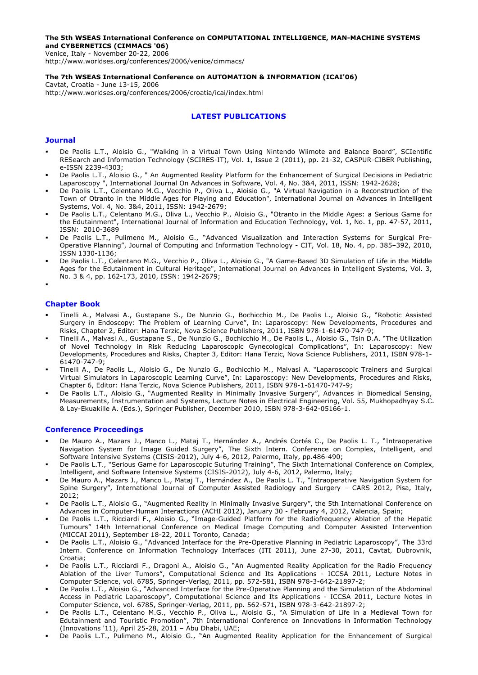### **The 5th WSEAS International Conference on COMPUTATIONAL INTELLIGENCE, MAN-MACHINE SYSTEMS and CYBERNETICS (CIMMACS '06)**

Venice, Italy - November 20-22, 2006 http://www.worldses.org/conferences/2006/venice/cimmacs/

#### **The 7th WSEAS International Conference on AUTOMATION & INFORMATION (ICAI'06)**

Cavtat, Croatia - June 13-15, 2006 http://www.worldses.org/conferences/2006/croatia/icai/index.html

### **LATEST PUBLICATIONS**

### **Journal**

- De Paolis L.T., Aloisio G., "Walking in a Virtual Town Using Nintendo Wiimote and Balance Board", SCIentific RESearch and Information Technology (SCIRES-IT), Vol. 1, Issue 2 (2011), pp. 21-32, CASPUR-CIBER Publishing, e-ISSN 2239-4303;
- De Paolis L.T., Aloisio G., " An Augmented Reality Platform for the Enhancement of Surgical Decisions in Pediatric Laparoscopy ", International Journal On Advances in Software, Vol. 4, No. 3&4, 2011, ISSN: 1942-2628;
- De Paolis L.T., Celentano M.G., Vecchio P., Oliva L., Aloisio G., "A Virtual Navigation in a Reconstruction of the Town of Otranto in the Middle Ages for Playing and Education", International Journal on Advances in Intelligent Systems, Vol. 4, No. 3&4, 2011, ISSN: 1942-2679;
- De Paolis L.T., Celentano M.G., Oliva L., Vecchio P., Aloisio G., "Otranto in the Middle Ages: a Serious Game for the Edutainment", International Journal of Information and Education Technology, Vol. 1, No. 1, pp. 47-57, 2011, ISSN: 2010-3689
- De Paolis L.T., Pulimeno M., Aloisio G., "Advanced Visualization and Interaction Systems for Surgical Pre-Operative Planning", Journal of Computing and Information Technology - CIT, Vol. 18, No. 4, pp. 385–392, 2010, ISSN 1330-1136;
- De Paolis L.T., Celentano M.G., Vecchio P., Oliva L., Aloisio G., "A Game-Based 3D Simulation of Life in the Middle Ages for the Edutainment in Cultural Heritage", International Journal on Advances in Intelligent Systems, Vol. 3, No. 3 & 4, pp. 162-173, 2010, ISSN: 1942-2679;
- .

### **Chapter Book**

- Tinelli A., Malvasi A., Gustapane S., De Nunzio G., Bochicchio M., De Paolis L., Aloisio G., "Robotic Assisted Surgery in Endoscopy: The Problem of Learning Curve", In: Laparoscopy: New Developments, Procedures and Risks, Chapter 2, Editor: Hana Terzic, Nova Science Publishers, 2011, ISBN 978-1-61470-747-9;
- Tinelli A., Malvasi A., Gustapane S., De Nunzio G., Bochicchio M., De Paolis L., Aloisio G., Tsin D.A. "The Utilization of Novel Technology in Risk Reducing Laparoscopic Gynecological Complications", In: Laparoscopy: New Developments, Procedures and Risks, Chapter 3, Editor: Hana Terzic, Nova Science Publishers, 2011, ISBN 978-1- 61470-747-9;
- Tinelli A., De Paolis L., Aloisio G., De Nunzio G., Bochicchio M., Malvasi A. "Laparoscopic Trainers and Surgical Virtual Simulators in Laparoscopic Learning Curve", In: Laparoscopy: New Developments, Procedures and Risks, Chapter 6, Editor: Hana Terzic, Nova Science Publishers, 2011, ISBN 978-1-61470-747-9;
- De Paolis L.T., Aloisio G., "Augmented Reality in Minimally Invasive Surgery", Advances in Biomedical Sensing, Measurements, Instrumentation and Systems, Lecture Notes in Electrical Engineering, Vol. 55, Mukhopadhyay S.C. & Lay-Ekuakille A. (Eds.), Springer Publisher, December 2010, ISBN 978-3-642-05166-1.

### **Conference Proceedings**

- De Mauro A., Mazars J., Manco L., Mataj T., Hernández A., Andrés Cortés C., De Paolis L. T., "Intraoperative Navigation System for Image Guided Surgery", The Sixth Intern. Conference on Complex, Intelligent, and Software Intensive Systems (CISIS-2012), July 4-6, 2012, Palermo, Italy, pp.486-490;
- De Paolis L.T., "Serious Game for Laparoscopic Suturing Training", The Sixth International Conference on Complex, Intelligent, and Software Intensive Systems (CISIS-2012), July 4-6, 2012, Palermo, Italy;
- De Mauro A., Mazars J., Manco L., Mataj T., Hernández A., De Paolis L. T., "Intraoperative Navigation System for Spine Surgery", International Journal of Computer Assisted Radiology and Surgery – CARS 2012, Pisa, Italy, 2012;
- De Paolis L.T., Aloisio G., "Augmented Reality in Minimally Invasive Surgery", the 5th International Conference on Advances in Computer-Human Interactions (ACHI 2012), January 30 - February 4, 2012, Valencia, Spain;
- De Paolis L.T., Ricciardi F., Aloisio G., "Image-Guided Platform for the Radiofrequency Ablation of the Hepatic Tumours" 14th International Conference on Medical Image Computing and Computer Assisted Intervention (MICCAI 2011), September 18-22, 2011 Toronto, Canada;
- De Paolis L.T., Aloisio G., "Advanced Interface for the Pre-Operative Planning in Pediatric Laparoscopy", The 33rd Intern. Conference on Information Technology Interfaces (ITI 2011), June 27-30, 2011, Cavtat, Dubrovnik, Croatia;
- De Paolis L.T., Ricciardi F., Dragoni A., Aloisio G., "An Augmented Reality Application for the Radio Frequency Ablation of the Liver Tumors", Computational Science and Its Applications - ICCSA 2011, Lecture Notes in Computer Science, vol. 6785, Springer-Verlag, 2011, pp. 572-581, ISBN 978-3-642-21897-2;
- De Paolis L.T., Aloisio G., "Advanced Interface for the Pre-Operative Planning and the Simulation of the Abdominal Access in Pediatric Laparoscopy", Computational Science and Its Applications - ICCSA 2011, Lecture Notes in Computer Science, vol. 6785, Springer-Verlag, 2011, pp. 562-571, ISBN 978-3-642-21897-2;
- De Paolis L.T., Celentano M.G., Vecchio P., Oliva L., Aloisio G., "A Simulation of Life in a Medieval Town for Edutainment and Touristic Promotion", 7th International Conference on Innovations in Information Technology (Innovations '11), April 25-28, 2011 – Abu Dhabi, UAE;
- De Paolis L.T., Pulimeno M., Aloisio G., "An Augmented Reality Application for the Enhancement of Surgical